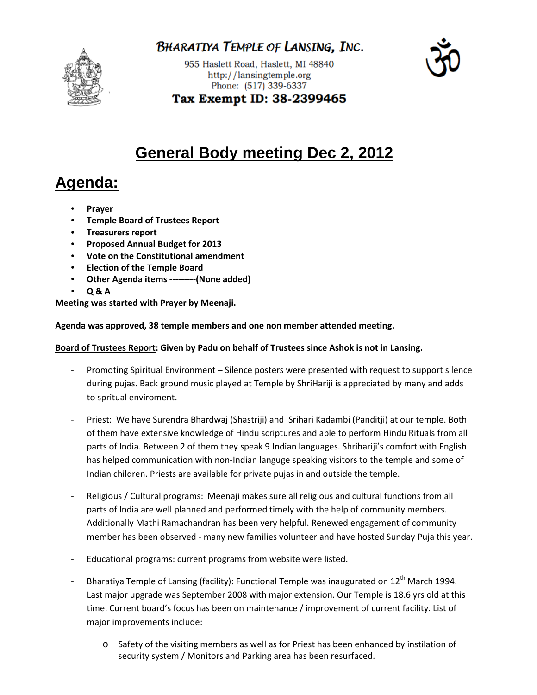

BHARATIYA TEMPLE OF LANSING, INC.

955 Haslett Road, Haslett, MI 48840 http://lansingtemple.org Phone: (517) 339-6337



Tax Exempt ID: 38-2399465

## **General Body meeting Dec 2, 2012**

# **Agenda:**

- **Prayer**
- **Temple Board of Trustees Report**
- **Treasurers report**
- **Proposed Annual Budget for 2013**
- **Vote on the Constitutional amendment**
- **Election of the Temple Board**
- **Other Agenda items ---------(None added)**
- **Q & A**

**Meeting was started with Prayer by Meenaji.** 

#### **Agenda was approved, 38 temple members and one non member attended meeting.**

### **Board of Trustees Report: Given by Padu on behalf of Trustees since Ashok is not in Lansing.**

- Promoting Spiritual Environment Silence posters were presented with request to support silence during pujas. Back ground music played at Temple by ShriHariji is appreciated by many and adds to spritual enviroment.
- Priest: We have Surendra Bhardwaj (Shastriji) and Srihari Kadambi (Panditji) at our temple. Both of them have extensive knowledge of Hindu scriptures and able to perform Hindu Rituals from all parts of India. Between 2 of them they speak 9 Indian languages. Shrihariji's comfort with English has helped communication with non-Indian languge speaking visitors to the temple and some of Indian children. Priests are available for private pujas in and outside the temple.
- Religious / Cultural programs: Meenaji makes sure all religious and cultural functions from all parts of India are well planned and performed timely with the help of community members. Additionally Mathi Ramachandran has been very helpful. Renewed engagement of community member has been observed - many new families volunteer and have hosted Sunday Puja this year.
- Educational programs: current programs from website were listed.
- Bharatiya Temple of Lansing (facility): Functional Temple was inaugurated on 12<sup>th</sup> March 1994. Last major upgrade was September 2008 with major extension. Our Temple is 18.6 yrs old at this time. Current board's focus has been on maintenance / improvement of current facility. List of major improvements include:
	- o Safety of the visiting members as well as for Priest has been enhanced by instilation of security system / Monitors and Parking area has been resurfaced.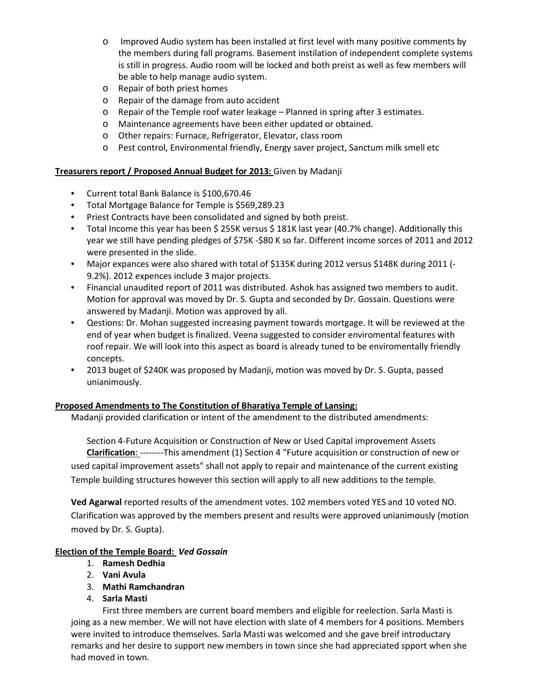- o Improved Audio system has been installed at first level with many positive comments by the members during fall programs. Basement instilation of independent complete systems is still in progress. Audio room will be locked and both preist as well as few members will be able to help manage audio system.
- o Repair of both priest homes
- o Repair of the damage from auto accident
- o Repair of the Temple roof water leakage Planned in spring after 3 estimates.
- o Maintenance agreements have been either updated or obtained.
- o Other repairs: Furnace, Refrigerator, Elevator, class room
- o Pest control, Environmental friendly, Energy saver project, Sanctum milk smell etc

#### **Treasurers report / Proposed Annual Budget for 2013:** Given by Madanji

- Current total Bank Balance is \$100,670.46
- Total Mortgage Balance for Temple is \$569,289.23
- Priest Contracts have been consolidated and signed by both preist.
- Total Income this year has been \$ 255K versus \$ 181K last year (40.7% change). Additionally this year we still have pending pledges of \$75K -\$80 K so far. Different income sorces of 2011 and 2012 were presented in the slide.
- Major expances were also shared with total of \$135K during 2012 versus \$148K during 2011 (- 9.2%). 2012 expences include 3 major projects.
- Financial unaudited report of 2011 was distributed. Ashok has assigned two members to audit. Motion for approval was moved by Dr. S. Gupta and seconded by Dr. Gossain. Questions were answered by Madanji. Motion was approved by all.
- Qestions: Dr. Mohan suggested increasing payment towards mortgage. It will be reviewed at the end of year when budget is finalized. Veena suggested to consider enviromental features with roof repair. We will look into this aspect as board is already tuned to be enviromentally friendly concepts.
- 2013 buget of \$240K was proposed by Madanji, motion was moved by Dr. S. Gupta, passed unianimously.

#### **Proposed Amendments to The Constitution of Bharatiya Temple of Lansing:**

Madanji provided clarification or intent of the amendment to the distributed amendments:

 Section 4-Future Acquisition or Construction of New or Used Capital improvement Assets **Clarification**: --------This amendment (1) Section 4 "Future acquisition or construction of new or used capital improvement assets" shall not apply to repair and maintenance of the current existing Temple building structures however this section will apply to all new additions to the temple.

**Ved Agarwal** reported results of the amendment votes. 102 members voted YES and 10 voted NO. Clarification was approved by the members present and results were approved unianimously (motion moved by Dr. S. Gupta).

#### **Election of the Temple Board:** *Ved Gossain*

- 1. **Ramesh Dedhia**
- 2. **Vani Avula**
- 3. **Mathi Ramchandran**
- 4. **Sarla Masti**

First three members are current board members and eligible for reelection. Sarla Masti is joing as a new member. We will not have election with slate of 4 members for 4 positions. Members were invited to introduce themselves. Sarla Masti was welcomed and she gave breif introductary remarks and her desire to support new members in town since she had appreciated spport when she had moved in town.